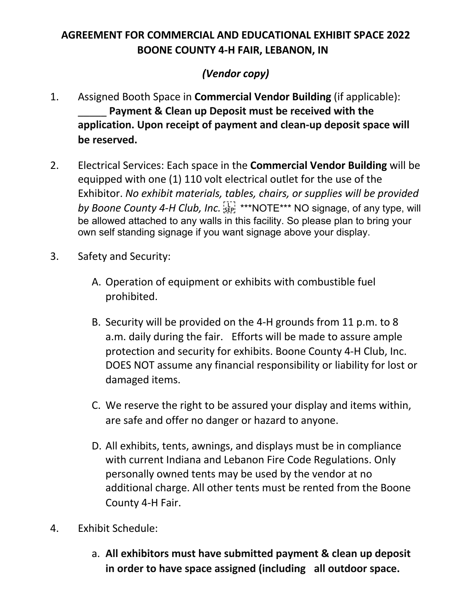## **AGREEMENT FOR COMMERCIAL AND EDUCATIONAL EXHIBIT SPACE 2022 BOONE COUNTY 4-H FAIR, LEBANON, IN**

## *(Vendor copy)*

- 1. Assigned Booth Space in **Commercial Vendor Building** (if applicable): \_\_\_\_\_ **Payment & Clean up Deposit must be received with the application. Upon receipt of payment and clean-up deposit space will be reserved.**
- 2. Electrical Services: Each space in the **Commercial Vendor Building** will be equipped with one (1) 110 volt electrical outlet for the use of the Exhibitor. *No exhibit materials, tables, chairs, or supplies will be provided*  by Boone County 4-H Club, Inc. <sup>[17]</sup> \*\*\*NOTE\*\*\* NO signage, of any type, will be allowed attached to any walls in this facility. So please plan to bring your own self standing signage if you want signage above your display.
- 3. Safety and Security:
	- A. Operation of equipment or exhibits with combustible fuel prohibited.
	- B. Security will be provided on the 4-H grounds from 11 p.m. to 8 a.m. daily during the fair. Efforts will be made to assure ample protection and security for exhibits. Boone County 4-H Club, Inc. DOES NOT assume any financial responsibility or liability for lost or damaged items.
	- C. We reserve the right to be assured your display and items within, are safe and offer no danger or hazard to anyone.
	- D. All exhibits, tents, awnings, and displays must be in compliance with current Indiana and Lebanon Fire Code Regulations. Only personally owned tents may be used by the vendor at no additional charge. All other tents must be rented from the Boone County 4-H Fair.
- 4. Exhibit Schedule:
	- a. **All exhibitors must have submitted payment & clean up deposit in order to have space assigned (including all outdoor space.**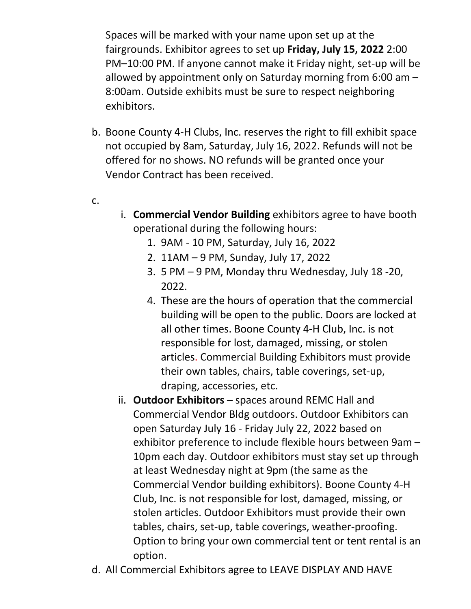Spaces will be marked with your name upon set up at the fairgrounds. Exhibitor agrees to set up **Friday, July 15, 2022** 2:00 PM–10:00 PM. If anyone cannot make it Friday night, set-up will be allowed by appointment only on Saturday morning from 6:00 am – 8:00am. Outside exhibits must be sure to respect neighboring exhibitors.

- b. Boone County 4-H Clubs, Inc. reserves the right to fill exhibit space not occupied by 8am, Saturday, July 16, 2022. Refunds will not be offered for no shows. NO refunds will be granted once your Vendor Contract has been received.
- c.
- i. **Commercial Vendor Building** exhibitors agree to have booth operational during the following hours:
	- 1. 9AM 10 PM, Saturday, July 16, 2022
	- 2. 11AM 9 PM, Sunday, July 17, 2022
	- 3. 5 PM 9 PM, Monday thru Wednesday, July 18 -20, 2022.
	- 4. These are the hours of operation that the commercial building will be open to the public. Doors are locked at all other times. Boone County 4-H Club, Inc. is not responsible for lost, damaged, missing, or stolen articles. Commercial Building Exhibitors must provide their own tables, chairs, table coverings, set-up, draping, accessories, etc.
- ii. Outdoor Exhibitors spaces around REMC Hall and Commercial Vendor Bldg outdoors. Outdoor Exhibitors can open Saturday July 16 - Friday July 22, 2022 based on exhibitor preference to include flexible hours between 9am – 10pm each day. Outdoor exhibitors must stay set up through at least Wednesday night at 9pm (the same as the Commercial Vendor building exhibitors). Boone County 4-H Club, Inc. is not responsible for lost, damaged, missing, or stolen articles. Outdoor Exhibitors must provide their own tables, chairs, set-up, table coverings, weather-proofing. Option to bring your own commercial tent or tent rental is an option.
- d. All Commercial Exhibitors agree to LEAVE DISPLAY AND HAVE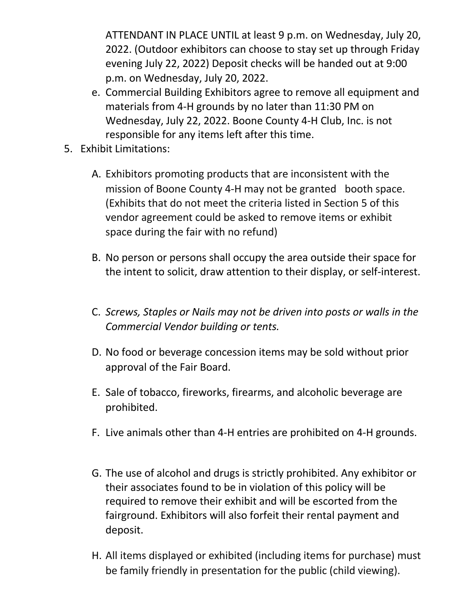ATTENDANT IN PLACE UNTIL at least 9 p.m. on Wednesday, July 20, 2022. (Outdoor exhibitors can choose to stay set up through Friday evening July 22, 2022) Deposit checks will be handed out at 9:00 p.m. on Wednesday, July 20, 2022.

- e. Commercial Building Exhibitors agree to remove all equipment and materials from 4-H grounds by no later than 11:30 PM on Wednesday, July 22, 2022. Boone County 4-H Club, Inc. is not responsible for any items left after this time.
- 5. Exhibit Limitations:
	- A. Exhibitors promoting products that are inconsistent with the mission of Boone County 4-H may not be granted booth space. (Exhibits that do not meet the criteria listed in Section 5 of this vendor agreement could be asked to remove items or exhibit space during the fair with no refund)
	- B. No person or persons shall occupy the area outside their space for the intent to solicit, draw attention to their display, or self-interest.
	- C. *Screws, Staples or Nails may not be driven into posts or walls in the Commercial Vendor building or tents.*
	- D. No food or beverage concession items may be sold without prior approval of the Fair Board.
	- E. Sale of tobacco, fireworks, firearms, and alcoholic beverage are prohibited.
	- F. Live animals other than 4-H entries are prohibited on 4-H grounds.
	- G. The use of alcohol and drugs is strictly prohibited. Any exhibitor or their associates found to be in violation of this policy will be required to remove their exhibit and will be escorted from the fairground. Exhibitors will also forfeit their rental payment and deposit.
	- H. All items displayed or exhibited (including items for purchase) must be family friendly in presentation for the public (child viewing).